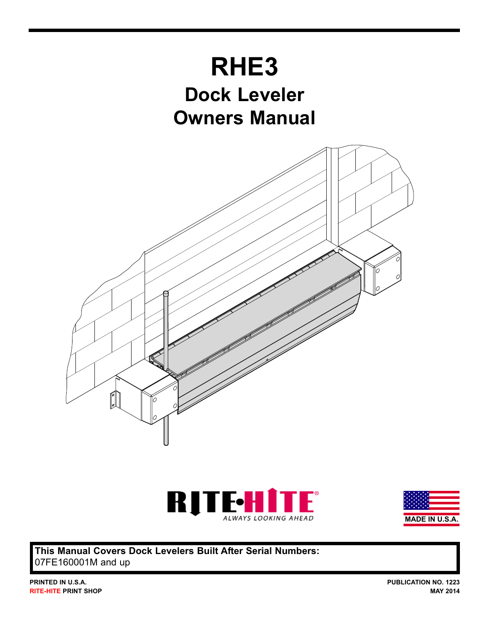





**This Manual Covers Dock Levelers Built After Serial Numbers:** 07FE160001M and up

**PUBLICATION NO. 1223 MAY 2014**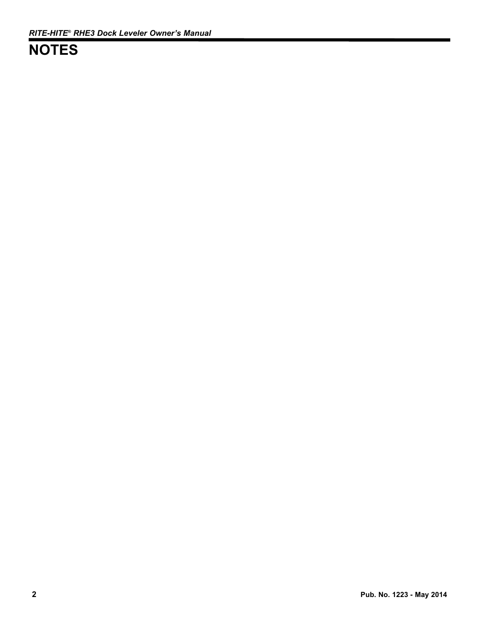## **NOTES**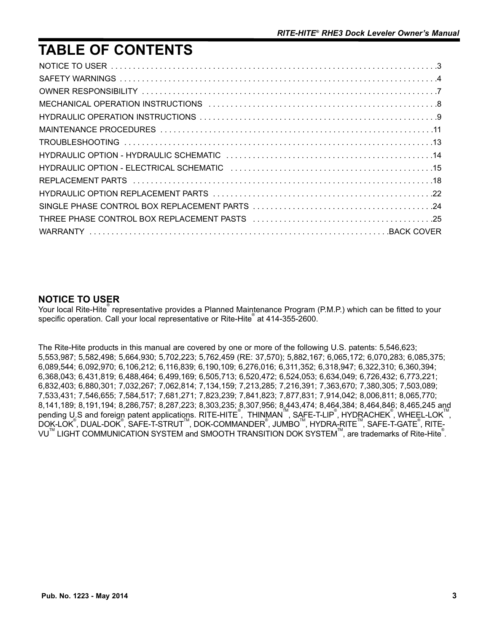## **TABLE OF CONTENTS**

### **NOTICE TO USER**

Your local Rite-Hite<sup>®</sup> representative provides a Planned Maintenance Program (P.M.P.) which can be fitted to your specific operation. Call your local representative or Rite-Hite at 414-355-2600.

The Rite-Hite products in this manual are covered by one or more of the following U.S. patents: 5,546,623; 5,553,987; 5,582,498; 5,664,930; 5,702,223; 5,762,459 (RE: 37,570); 5,882,167; 6,065,172; 6,070,283; 6,085,375; 6,089,544; 6,092,970; 6,106,212; 6,116,839; 6,190,109; 6,276,016; 6,311,352; 6,318,947; 6,322,310; 6,360,394; 6,368,043; 6,431,819; 6,488,464; 6,499,169; 6,505,713; 6,520,472; 6,524,053; 6,634,049; 6,726,432; 6,773,221; 6,832,403; 6,880,301; 7,032,267; 7,062,814; 7,134,159; 7,213,285; 7,216,391; 7,363,670; 7,380,305; 7,503,089; 7,533,431; 7,546,655; 7,584,517; 7,681,271; 7,823,239; 7,841,823; 7,877,831; 7,914,042; 8,006,811; 8,065,770; 8,141,189; 8,191,194; 8,286,757; 8,287,223; 8,303,235; 8,307,956; 8,443,474; 8,464,384; 8,464,846; 8,465,245 and Pending U.S and foreign patent applications. RITE-HITE<sup>®</sup>, THINMAN™, SAFE-T-LIP<sup>®</sup>, HYDRACHEK<sup>®</sup>, WHEEL-LOK™, .<br>DOK-LOK<sup>®</sup>, DUAL-DOK<sup>®</sup>, SAFE-T-STRUT™, DOK-COMMANDER<sup>®</sup>, JUMBO™, HYDRA-RITE™, SAFE-T-GATE<sup>®</sup>, RITE-VU $^{\text{™}}$  LIGHT COMMUNICATION SYSTEM and SMOOTH TRANSITION DOK SYSTEM $^{\text{™}}$ , are trademarks of Rite-Hite $^{\text{®}}$ .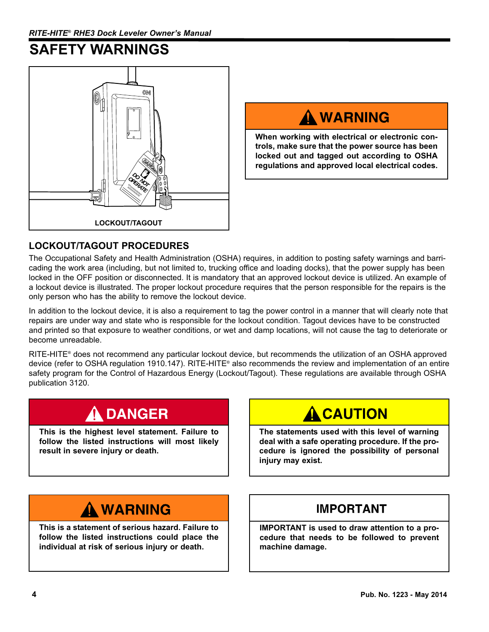## **SAFETY WARNINGS**



# A WARNING

**When working with electrical or electronic controls, make sure that the power source has been locked out and tagged out according to OSHA regulations and approved local electrical codes.**

### **LOCKOUT/TAGOUT PROCEDURES**

The Occupational Safety and Health Administration (OSHA) requires, in addition to posting safety warnings and barricading the work area (including, but not limited to, trucking office and loading docks), that the power supply has been locked in the OFF position or disconnected. It is mandatory that an approved lockout device is utilized. An example of a lockout device is illustrated. The proper lockout procedure requires that the person responsible for the repairs is the only person who has the ability to remove the lockout device.

In addition to the lockout device, it is also a requirement to tag the power control in a manner that will clearly note that repairs are under way and state who is responsible for the lockout condition. Tagout devices have to be constructed and printed so that exposure to weather conditions, or wet and damp locations, will not cause the tag to deteriorate or become unreadable.

RITE-HITE® does not recommend any particular lockout device, but recommends the utilization of an OSHA approved device (refer to OSHA regulation 1910.147). RITE-HITE® also recommends the review and implementation of an entire safety program for the Control of Hazardous Energy (Lockout/Tagout). These regulations are available through OSHA publication 3120.

## **DANGER**

**This is the highest level statement. Failure to follow the listed instructions will most likely result in severe injury or death.**

## **A CAUTION**

**The statements used with this level of warning deal with a safe operating procedure. If the procedure is ignored the possibility of personal injury may exist.**

## A WARNING

**This is a statement of serious hazard. Failure to follow the listed instructions could place the individual at risk of serious injury or death.**

### **IMPORTANT**

**IMPORTANT is used to draw attention to a procedure that needs to be followed to prevent machine damage.**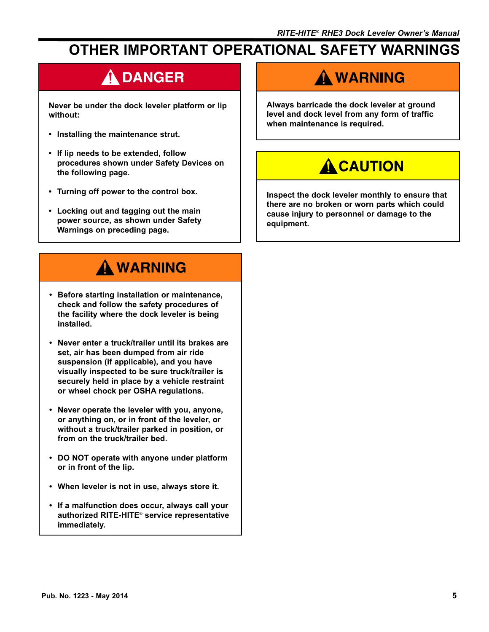## **OTHER IMPORTANT OPERATIONAL SAFETY WARNINGS**

# A DANGER

**Never be under the dock leveler platform or lip without:**

- **Installing the maintenance strut.**
- **If lip needs to be extended, follow procedures shown under Safety Devices on the following page.**
- **Turning off power to the control box.**
- **Locking out and tagging out the main power source, as shown under Safety Warnings on preceding page.**

# A WARNING

- **Before starting installation or maintenance, check and follow the safety procedures of the facility where the dock leveler is being installed.**
- **Never enter a truck/trailer until its brakes are set, air has been dumped from air ride suspension (if applicable), and you have visually inspected to be sure truck/trailer is securely held in place by a vehicle restraint or wheel chock per OSHA regulations.**
- **Never operate the leveler with you, anyone, or anything on, or in front of the leveler, or without a truck/trailer parked in position, or from on the truck/trailer bed.**
- **DO NOT operate with anyone under platform or in front of the lip.**
- **When leveler is not in use, always store it.**
- **If a malfunction does occur, always call your authorized RITE-HITE**® **service representative immediately.**

## A WARNING

**Always barricade the dock leveler at ground level and dock level from any form of traffic when maintenance is required.**

# **A CAUTION**

**Inspect the dock leveler monthly to ensure that there are no broken or worn parts which could cause injury to personnel or damage to the equipment.**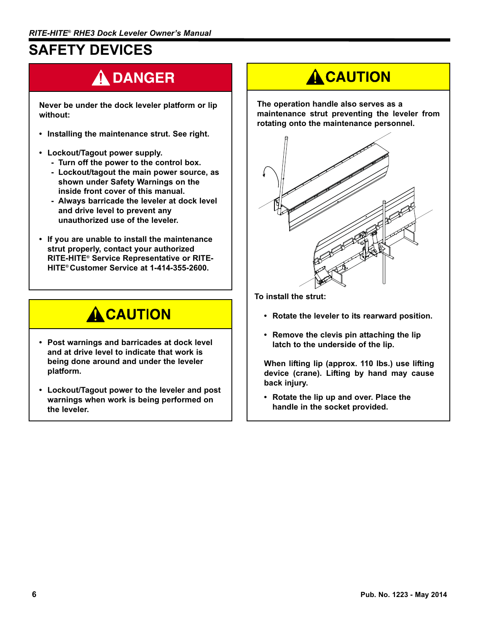## **SAFETY DEVICES**

# A DANGER

**Never be under the dock leveler platform or lip without:**

- **Installing the maintenance strut. See right.**
- **Lockout/Tagout power supply.**
	- **Turn off the power to the control box.**
	- **Lockout/tagout the main power source, as shown under Safety Warnings on the inside front cover of this manual.**
	- **Always barricade the leveler at dock level and drive level to prevent any unauthorized use of the leveler.**
- **If you are unable to install the maintenance strut properly, contact your authorized RITE-HITE® Service Representative or RITE-HITE® Customer Service at 1-414-355-2600.**

## **A CAUTION**

- **Post warnings and barricades at dock level and at drive level to indicate that work is being done around and under the leveler platform.**
- **Lockout/Tagout power to the leveler and post warnings when work is being performed on the leveler.**

# **A CAUTION**

**The operation handle also serves as a maintenance strut preventing the leveler from rotating onto the maintenance personnel.** 



**To install the strut:**

- **Rotate the leveler to its rearward position.**
- **Remove the clevis pin attaching the lip latch to the underside of the lip.**

**When lifting lip (approx. 110 lbs.) use lifting device (crane). Lifting by hand may cause back injury.**

**• Rotate the lip up and over. Place the handle in the socket provided.**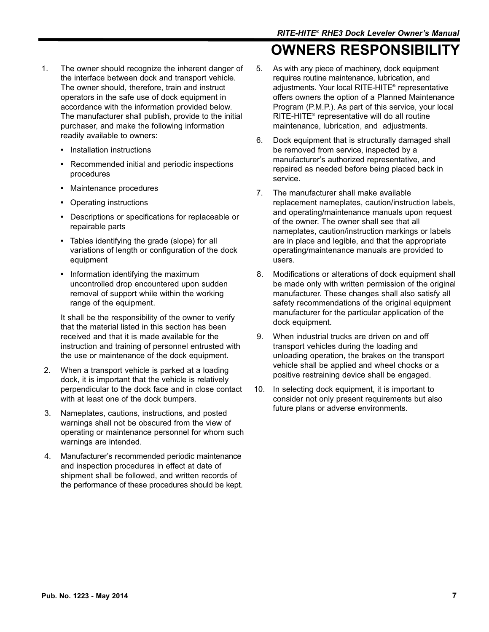- 1. The owner should recognize the inherent danger of the interface between dock and transport vehicle. The owner should, therefore, train and instruct operators in the safe use of dock equipment in accordance with the information provided below. The manufacturer shall publish, provide to the initial purchaser, and make the following information readily available to owners:
	- **•** Installation instructions
	- **•** Recommended initial and periodic inspections procedures
	- **•** Maintenance procedures
	- **•** Operating instructions
	- **•** Descriptions or specifications for replaceable or repairable parts
	- **•** Tables identifying the grade (slope) for all variations of length or configuration of the dock equipment
	- **•** Information identifying the maximum uncontrolled drop encountered upon sudden removal of support while within the working range of the equipment.

It shall be the responsibility of the owner to verify that the material listed in this section has been received and that it is made available for the instruction and training of personnel entrusted with the use or maintenance of the dock equipment.

- 2. When a transport vehicle is parked at a loading dock, it is important that the vehicle is relatively perpendicular to the dock face and in close contact with at least one of the dock bumpers.
- 3. Nameplates, cautions, instructions, and posted warnings shall not be obscured from the view of operating or maintenance personnel for whom such warnings are intended.
- 4. Manufacturer's recommended periodic maintenance and inspection procedures in effect at date of shipment shall be followed, and written records of the performance of these procedures should be kept.

# **OWNERS RESPONSIBILIT**

- 5. As with any piece of machinery, dock equipment requires routine maintenance, lubrication, and adjustments. Your local RITE-HITE® representative offers owners the option of a Planned Maintenance Program (P.M.P.). As part of this service, your local RITE-HITE® representative will do all routine maintenance, lubrication, and adjustments.
- 6. Dock equipment that is structurally damaged shall be removed from service, inspected by a manufacturer's authorized representative, and repaired as needed before being placed back in service.
- 7. The manufacturer shall make available replacement nameplates, caution/instruction labels, and operating/maintenance manuals upon request of the owner. The owner shall see that all nameplates, caution/instruction markings or labels are in place and legible, and that the appropriate operating/maintenance manuals are provided to users.
- 8. Modifications or alterations of dock equipment shall be made only with written permission of the original manufacturer. These changes shall also satisfy all safety recommendations of the original equipment manufacturer for the particular application of the dock equipment.
- 9. When industrial trucks are driven on and off transport vehicles during the loading and unloading operation, the brakes on the transport vehicle shall be applied and wheel chocks or a positive restraining device shall be engaged.
- 10. In selecting dock equipment, it is important to consider not only present requirements but also future plans or adverse environments.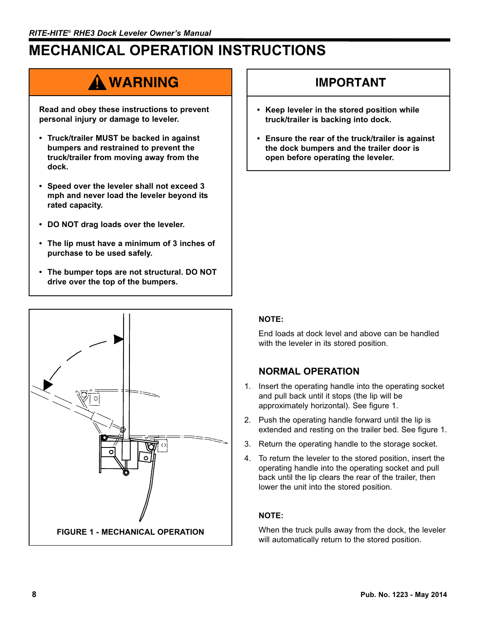# **MECHANICAL OPERATION INSTRUCTIONS**

## A WARNING

**Read and obey these instructions to prevent personal injury or damage to leveler.**

- **Truck/trailer MUST be backed in against bumpers and restrained to prevent the truck/trailer from moving away from the dock.**
- **Speed over the leveler shall not exceed 3 mph and never load the leveler beyond its rated capacity.**
- **DO NOT drag loads over the leveler.**
- **The lip must have a minimum of 3 inches of purchase to be used safely.**
- **The bumper tops are not structural. DO NOT drive over the top of the bumpers.**



### IMPORTANT

- **Keep leveler in the stored position while truck/trailer is backing into dock.**
- **Ensure the rear of the truck/trailer is against the dock bumpers and the trailer door is open before operating the leveler.**

### **NOTE:**

End loads at dock level and above can be handled with the leveler in its stored position.

### **NORMAL OPERATION**

- 1. Insert the operating handle into the operating socket and pull back until it stops (the lip will be approximately horizontal). See figure 1.
- 2. Push the operating handle forward until the lip is extended and resting on the trailer bed. See figure 1.
- 3. Return the operating handle to the storage socket.
- 4. To return the leveler to the stored position, insert the operating handle into the operating socket and pull back until the lip clears the rear of the trailer, then lower the unit into the stored position.

### **NOTE:**

When the truck pulls away from the dock, the leveler will automatically return to the stored position.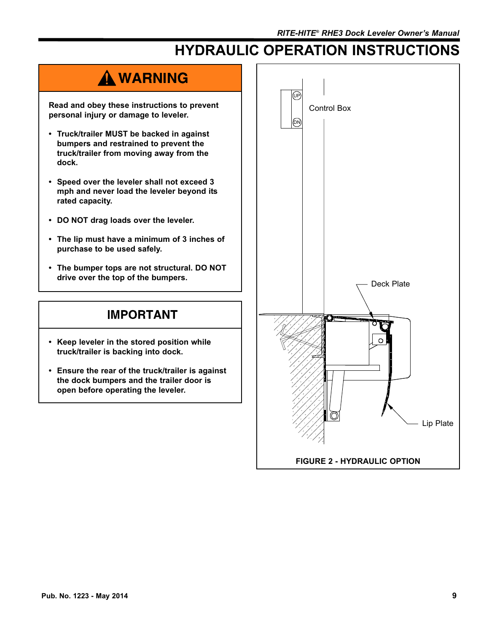# **HYDRAULIC OPERATION INSTRUCTIONS**

## A WARNING

**Read and obey these instructions to prevent personal injury or damage to leveler.**

- **Truck/trailer MUST be backed in against bumpers and restrained to prevent the truck/trailer from moving away from the dock.**
- **Speed over the leveler shall not exceed 3 mph and never load the leveler beyond its rated capacity.**
- **DO NOT drag loads over the leveler.**
- **The lip must have a minimum of 3 inches of purchase to be used safely.**
- **The bumper tops are not structural. DO NOT drive over the top of the bumpers.**

### **IMPORTANT**

- **Keep leveler in the stored position while truck/trailer is backing into dock.**
- **Ensure the rear of the truck/trailer is against the dock bumpers and the trailer door is open before operating the leveler.**

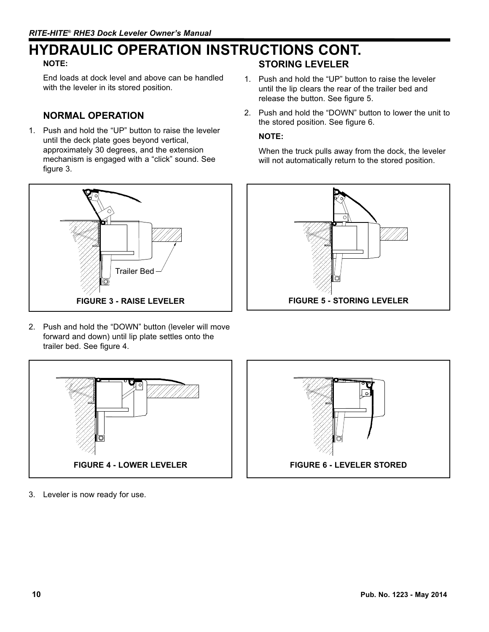### **STORING LEVELER HYDRAULIC OPERATION INSTRUCTIONS CONT.**

### **NOTE:**

End loads at dock level and above can be handled with the leveler in its stored position.

### **NORMAL OPERATION**

1. Push and hold the "UP" button to raise the leveler until the deck plate goes beyond vertical, approximately 30 degrees, and the extension mechanism is engaged with a "click" sound. See figure 3.



2. Push and hold the "DOWN" button (leveler will move forward and down) until lip plate settles onto the trailer bed. See figure 4.

- 1. Push and hold the "UP" button to raise the leveler until the lip clears the rear of the trailer bed and release the button. See figure 5.
- 2. Push and hold the "DOWN" button to lower the unit to the stored position. See figure 6.

#### **NOTE:**

When the truck pulls away from the dock, the leveler will not automatically return to the stored position.





**FIGURE 6 - LEVELER STORED**

3. Leveler is now ready for use.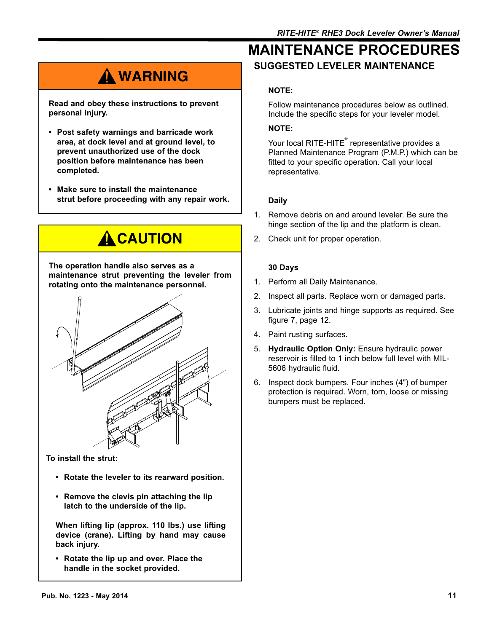# A WARNING

**Read and obey these instructions to prevent personal injury.**

- **Post safety warnings and barricade work area, at dock level and at ground level, to prevent unauthorized use of the dock position before maintenance has been completed.**
- **Make sure to install the maintenance strut before proceeding with any repair work.**



**The operation handle also serves as a maintenance strut preventing the leveler from rotating onto the maintenance personnel.** 



**To install the strut:**

- **Rotate the leveler to its rearward position.**
- **Remove the clevis pin attaching the lip latch to the underside of the lip.**

**When lifting lip (approx. 110 lbs.) use lifting device (crane). Lifting by hand may cause back injury.**

**• Rotate the lip up and over. Place the handle in the socket provided.**

### **SUGGESTED LEVELER MAINTENANCE MAINTENANCE PROCEDURES**

### **NOTE:**

Follow maintenance procedures below as outlined. Include the specific steps for your leveler model.

### **NOTE:**

Your local RITE-HITE $^\circ$  representative provides a Planned Maintenance Program (P.M.P.) which can be fitted to your specific operation. Call your local representative.

### **Daily**

- 1. Remove debris on and around leveler. Be sure the hinge section of the lip and the platform is clean.
- 2. Check unit for proper operation.

### **30 Days**

- 1. Perform all Daily Maintenance.
- 2. Inspect all parts. Replace worn or damaged parts.
- 3. Lubricate joints and hinge supports as required. See figure 7, page 12.
- 4. Paint rusting surfaces.
- 5. **Hydraulic Option Only:** Ensure hydraulic power reservoir is filled to 1 inch below full level with MIL-5606 hydraulic fluid.
- 6. Inspect dock bumpers. Four inches (4") of bumper protection is required. Worn, torn, loose or missing bumpers must be replaced.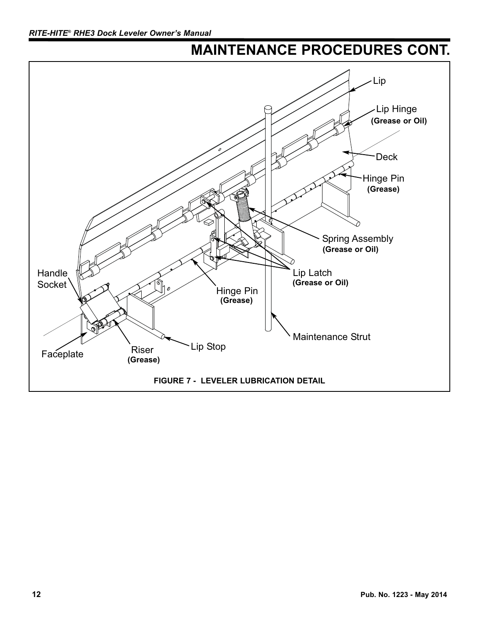## **MAINTENANCE PROCEDURES CONT.**

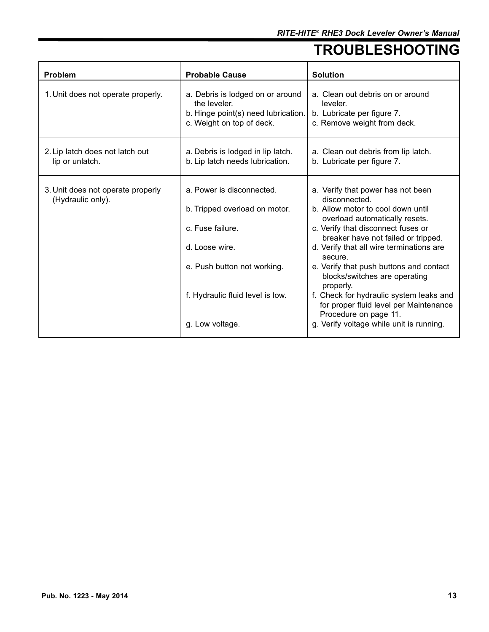## **TROUBLESHOOTING**

| Problem                                                | <b>Probable Cause</b>                                                                                                                                                                  | <b>Solution</b>                                                                                                                                                                                                                                                                                                                                                                                                                                                                                                  |
|--------------------------------------------------------|----------------------------------------------------------------------------------------------------------------------------------------------------------------------------------------|------------------------------------------------------------------------------------------------------------------------------------------------------------------------------------------------------------------------------------------------------------------------------------------------------------------------------------------------------------------------------------------------------------------------------------------------------------------------------------------------------------------|
| 1. Unit does not operate properly.                     | a. Debris is lodged on or around<br>the leveler.<br>b. Hinge point(s) need lubrication.<br>c. Weight on top of deck.                                                                   | a. Clean out debris on or around<br>leveler.<br>b. Lubricate per figure 7.<br>c. Remove weight from deck.                                                                                                                                                                                                                                                                                                                                                                                                        |
| 2. Lip latch does not latch out<br>lip or unlatch.     | a. Debris is lodged in lip latch.<br>b. Lip latch needs lubrication.                                                                                                                   | a. Clean out debris from lip latch.<br>b. Lubricate per figure 7.                                                                                                                                                                                                                                                                                                                                                                                                                                                |
| 3. Unit does not operate properly<br>(Hydraulic only). | a. Power is disconnected.<br>b. Tripped overload on motor.<br>c. Fuse failure.<br>d. Loose wire.<br>e. Push button not working.<br>f. Hydraulic fluid level is low.<br>g. Low voltage. | a. Verify that power has not been<br>disconnected.<br>b. Allow motor to cool down until<br>overload automatically resets.<br>c. Verify that disconnect fuses or<br>breaker have not failed or tripped.<br>d. Verify that all wire terminations are<br>secure.<br>e. Verify that push buttons and contact<br>blocks/switches are operating<br>properly.<br>f. Check for hydraulic system leaks and<br>for proper fluid level per Maintenance<br>Procedure on page 11.<br>g. Verify voltage while unit is running. |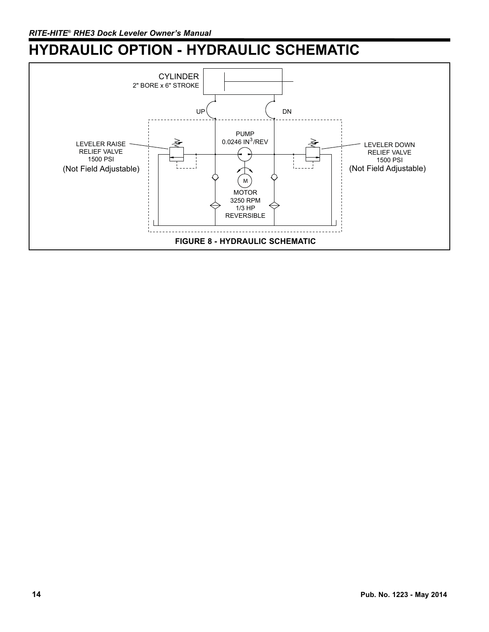## **HYDRAULIC OPTION - HYDRAULIC SCHEMATIC**

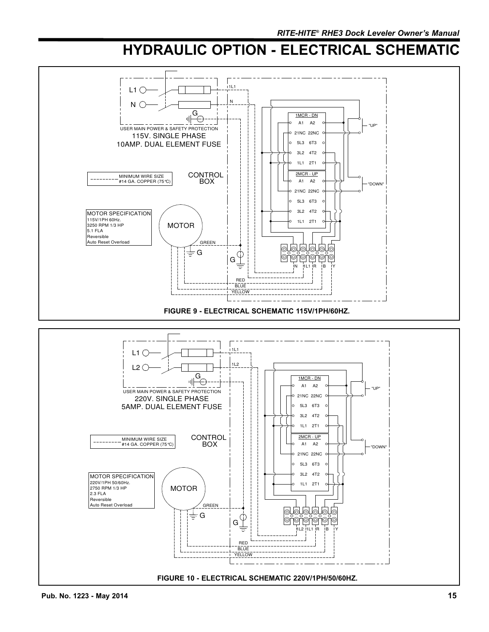## **HYDRAULIC OPTION - ELECTRICAL SCHEMATIC**

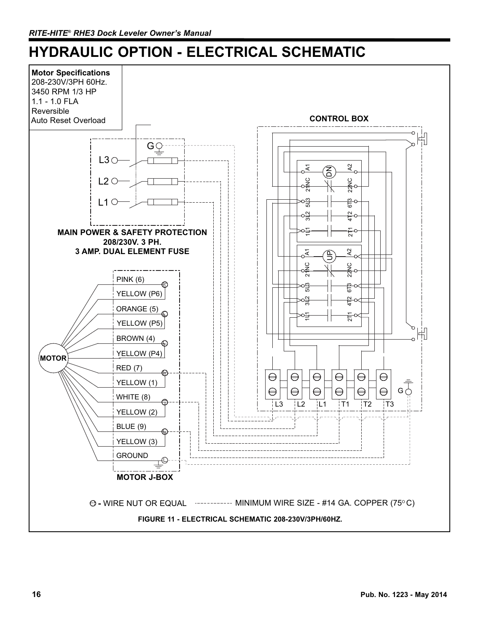## **HYDRAULIC OPTION - ELECTRICAL SCHEMATIC**

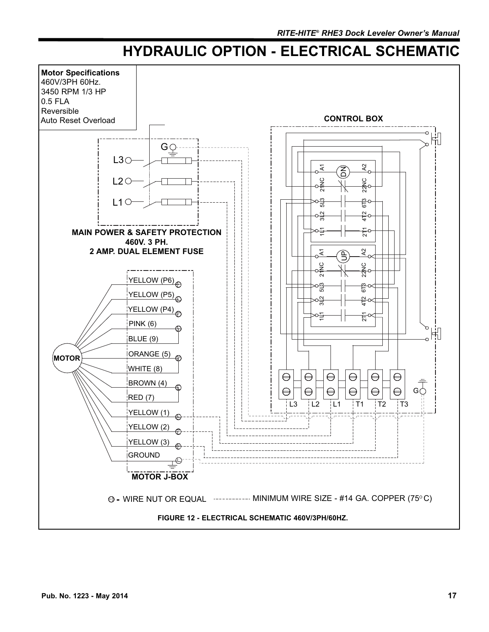## **HYDRAULIC OPTION - ELECTRICAL SCHEMATIC**

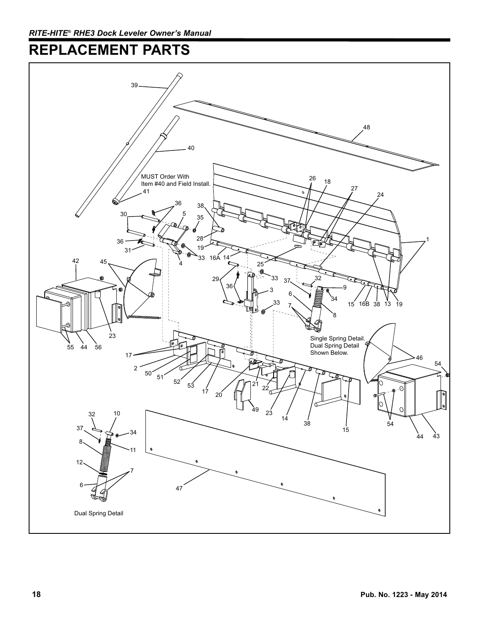## **REPLACEMENT PARTS**

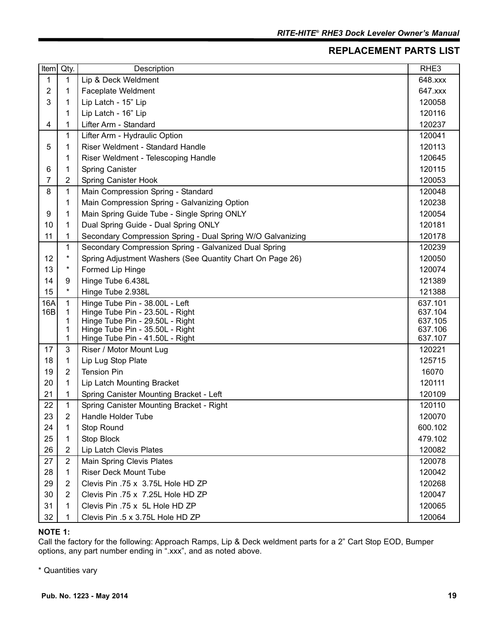### **REPLACEMENT PARTS LIST**

| <b>Item</b> | Qty.           | Description                                                        | RHE <sub>3</sub>   |
|-------------|----------------|--------------------------------------------------------------------|--------------------|
| 1           | 1              | Lip & Deck Weldment                                                | 648.xxx            |
| 2           | 1              | Faceplate Weldment                                                 | 647.xxx            |
| 3           | 1              | Lip Latch - 15" Lip                                                | 120058             |
|             | 1              | Lip Latch - 16" Lip                                                | 120116             |
| 4           | 1              | Lifter Arm - Standard                                              | 120237             |
|             | 1              | Lifter Arm - Hydraulic Option                                      | 120041             |
| 5           | 1              | Riser Weldment - Standard Handle                                   | 120113             |
|             | 1              | Riser Weldment - Telescoping Handle                                | 120645             |
| 6           | 1              | <b>Spring Canister</b>                                             | 120115             |
| 7           | 2              | Spring Canister Hook                                               | 120053             |
| 8           | 1              | Main Compression Spring - Standard                                 | 120048             |
|             | 1              | Main Compression Spring - Galvanizing Option                       | 120238             |
| 9           | 1              | Main Spring Guide Tube - Single Spring ONLY                        | 120054             |
| 10          | 1              | Dual Spring Guide - Dual Spring ONLY                               | 120181             |
| 11          | 1              | Secondary Compression Spring - Dual Spring W/O Galvanizing         | 120178             |
|             | 1              | Secondary Compression Spring - Galvanized Dual Spring              | 120239             |
| 12          | $^\star$       | Spring Adjustment Washers (See Quantity Chart On Page 26)          | 120050             |
| 13          | $^\star$       | Formed Lip Hinge                                                   | 120074             |
| 14          | 9              | Hinge Tube 6.438L                                                  | 121389             |
| 15          | $\star$        | Hinge Tube 2.938L                                                  | 121388             |
| 16A         | 1              | Hinge Tube Pin - 38.00L - Left                                     | 637.101            |
| 16B         | 1              | Hinge Tube Pin - 23.50L - Right                                    | 637.104            |
|             | 1<br>1         | Hinge Tube Pin - 29.50L - Right<br>Hinge Tube Pin - 35.50L - Right | 637.105<br>637.106 |
|             | 1              | Hinge Tube Pin - 41.50L - Right                                    | 637.107            |
| 17          | 3              | Riser / Motor Mount Lug                                            | 120221             |
| 18          | 1              | Lip Lug Stop Plate                                                 | 125715             |
| 19          | $\overline{2}$ | <b>Tension Pin</b>                                                 | 16070              |
| 20          | 1              | Lip Latch Mounting Bracket                                         | 120111             |
| 21          | 1              | Spring Canister Mounting Bracket - Left                            | 120109             |
| 22          | $\mathbf{1}$   | Spring Canister Mounting Bracket - Right                           | 120110             |
| 23          | 2              | Handle Holder Tube                                                 | 120070             |
| 24          | 1              | Stop Round                                                         | 600.102            |
| 25          | 1              | Stop Block                                                         | 479.102            |
| 26          | $\overline{2}$ | Lip Latch Clevis Plates                                            | 120082             |
| 27          | $\overline{2}$ | Main Spring Clevis Plates                                          | 120078             |
| 28          | 1              | <b>Riser Deck Mount Tube</b>                                       | 120042             |
| 29          | 2              | Clevis Pin .75 x 3.75L Hole HD ZP                                  | 120268             |
| 30          | $\overline{2}$ | Clevis Pin .75 x 7.25L Hole HD ZP                                  | 120047             |
| 31          | 1              | Clevis Pin .75 x 5L Hole HD ZP                                     | 120065             |
| 32          |                | Clevis Pin .5 x 3.75L Hole HD ZP                                   | 120064             |

#### **NOTE 1:**

Call the factory for the following: Approach Ramps, Lip & Deck weldment parts for a 2" Cart Stop EOD, Bumper options, any part number ending in ".xxx", and as noted above.

\* Quantities vary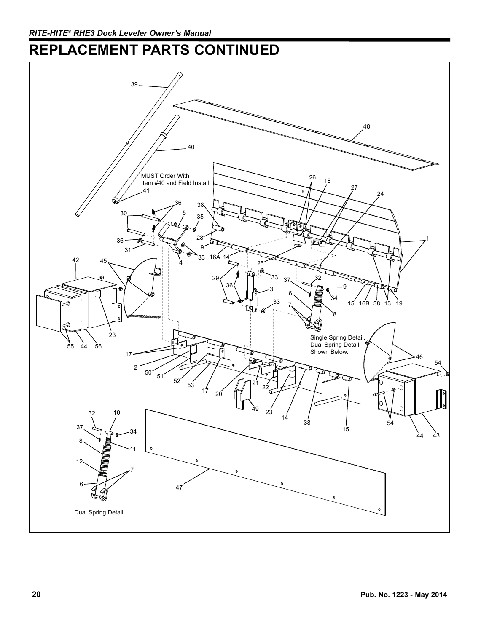## **REPLACEMENT PARTS CONTINUED**

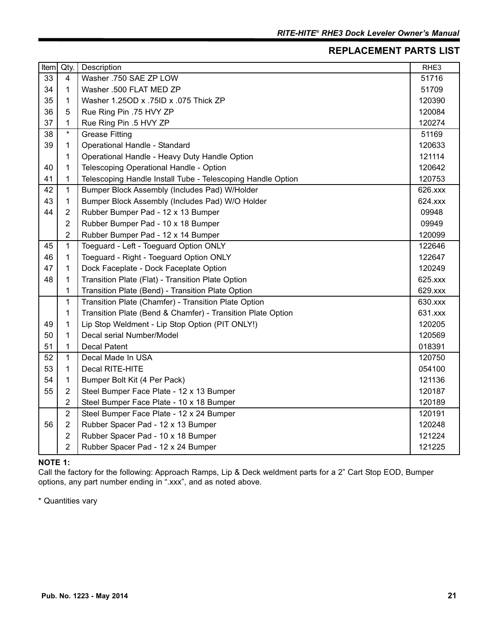### **REPLACEMENT PARTS LIST**

| Item | Qty.           | Description                                                 | RHE3    |
|------|----------------|-------------------------------------------------------------|---------|
| 33   | $\overline{4}$ | Washer .750 SAE ZP LOW                                      | 51716   |
| 34   | 1              | Washer .500 FLAT MED ZP                                     | 51709   |
| 35   | 1              | Washer 1.25OD x .75ID x .075 Thick ZP                       | 120390  |
| 36   | 5              | Rue Ring Pin .75 HVY ZP                                     | 120084  |
| 37   | 1              | Rue Ring Pin .5 HVY ZP                                      | 120274  |
| 38   | $\star$        | <b>Grease Fitting</b>                                       | 51169   |
| 39   | 1              | Operational Handle - Standard                               | 120633  |
|      | 1              | Operational Handle - Heavy Duty Handle Option               | 121114  |
| 40   | 1              | Telescoping Operational Handle - Option                     | 120642  |
| 41   | 1              | Telescoping Handle Install Tube - Telescoping Handle Option | 120753  |
| 42   | 1              | Bumper Block Assembly (Includes Pad) W/Holder               | 626.xxx |
| 43   | 1              | Bumper Block Assembly (Includes Pad) W/O Holder             | 624.xxx |
| 44   | $\overline{2}$ | Rubber Bumper Pad - 12 x 13 Bumper                          | 09948   |
|      | $\overline{2}$ | Rubber Bumper Pad - 10 x 18 Bumper                          | 09949   |
|      | $\overline{2}$ | Rubber Bumper Pad - 12 x 14 Bumper                          | 120099  |
| 45   | 1              | Toeguard - Left - Toeguard Option ONLY                      | 122646  |
| 46   | 1              | Toeguard - Right - Toeguard Option ONLY                     | 122647  |
| 47   | 1              | Dock Faceplate - Dock Faceplate Option                      | 120249  |
| 48   | 1              | Transition Plate (Flat) - Transition Plate Option           | 625.xxx |
|      | 1              | Transition Plate (Bend) - Transition Plate Option           | 629.xxx |
|      | $\mathbf 1$    | Transition Plate (Chamfer) - Transition Plate Option        | 630.xxx |
|      | 1              | Transition Plate (Bend & Chamfer) - Transition Plate Option | 631.xxx |
| 49   | 1              | Lip Stop Weldment - Lip Stop Option (PIT ONLY!)             | 120205  |
| 50   | 1              | Decal serial Number/Model                                   | 120569  |
| 51   | 1              | <b>Decal Patent</b>                                         | 018391  |
| 52   | $\mathbf{1}$   | Decal Made In USA                                           | 120750  |
| 53   | 1              | Decal RITE-HITE                                             | 054100  |
| 54   | 1              | Bumper Bolt Kit (4 Per Pack)                                | 121136  |
| 55   | $\overline{2}$ | Steel Bumper Face Plate - 12 x 13 Bumper                    | 120187  |
|      | $\overline{2}$ | Steel Bumper Face Plate - 10 x 18 Bumper                    | 120189  |
|      | $\overline{2}$ | Steel Bumper Face Plate - 12 x 24 Bumper                    | 120191  |
| 56   | $\overline{2}$ | Rubber Spacer Pad - 12 x 13 Bumper                          | 120248  |
|      | $\overline{2}$ | Rubber Spacer Pad - 10 x 18 Bumper                          | 121224  |
|      | $\overline{2}$ | Rubber Spacer Pad - 12 x 24 Bumper                          | 121225  |

#### **NOTE 1:**

Call the factory for the following: Approach Ramps, Lip & Deck weldment parts for a 2" Cart Stop EOD, Bumper options, any part number ending in ".xxx", and as noted above.

\* Quantities vary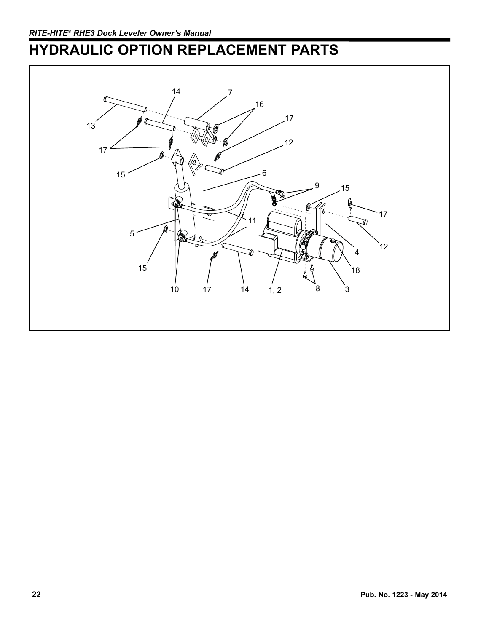# **HYDRAULIC OPTION REPLACEMENT PARTS**

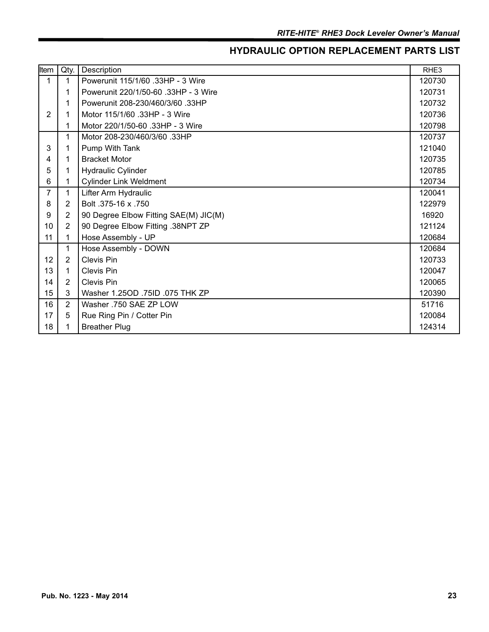### **HYDRAULIC OPTION REPLACEMENT PARTS LIST**

| Item           | Qty.           | Description                           | RHE3   |
|----------------|----------------|---------------------------------------|--------|
| 1              | 1              | Powerunit 115/1/60 .33HP - 3 Wire     | 120730 |
|                | 1              | Powerunit 220/1/50-60 .33HP - 3 Wire  | 120731 |
|                | 1              | Powerunit 208-230/460/3/60 .33HP      | 120732 |
| 2              | 1              | Motor 115/1/60 .33HP - 3 Wire         | 120736 |
|                | 1              | Motor 220/1/50-60 .33HP - 3 Wire      | 120798 |
|                | 1              | Motor 208-230/460/3/60 .33HP          | 120737 |
| 3              | 1              | Pump With Tank                        | 121040 |
| 4              | 1              | <b>Bracket Motor</b>                  | 120735 |
| 5              | 1              | <b>Hydraulic Cylinder</b>             | 120785 |
| 6              | 1              | <b>Cylinder Link Weldment</b>         | 120734 |
| $\overline{7}$ | 1              | Lifter Arm Hydraulic                  | 120041 |
| 8              | $\overline{2}$ | Bolt .375-16 x .750                   | 122979 |
| 9              | 2              | 90 Degree Elbow Fitting SAE(M) JIC(M) | 16920  |
| 10             | 2              | 90 Degree Elbow Fitting .38NPT ZP     | 121124 |
| 11             | 1              | Hose Assembly - UP                    | 120684 |
|                | 1              | Hose Assembly - DOWN                  | 120684 |
| 12             | 2              | <b>Clevis Pin</b>                     | 120733 |
| 13             | 1              | Clevis Pin                            | 120047 |
| 14             | $\overline{2}$ | Clevis Pin                            | 120065 |
| 15             | 3              | Washer 1.25OD .75ID .075 THK ZP       | 120390 |
| 16             | 2              | Washer .750 SAE ZP LOW                | 51716  |
| 17             | 5              | Rue Ring Pin / Cotter Pin             | 120084 |
| 18             |                | <b>Breather Plug</b>                  | 124314 |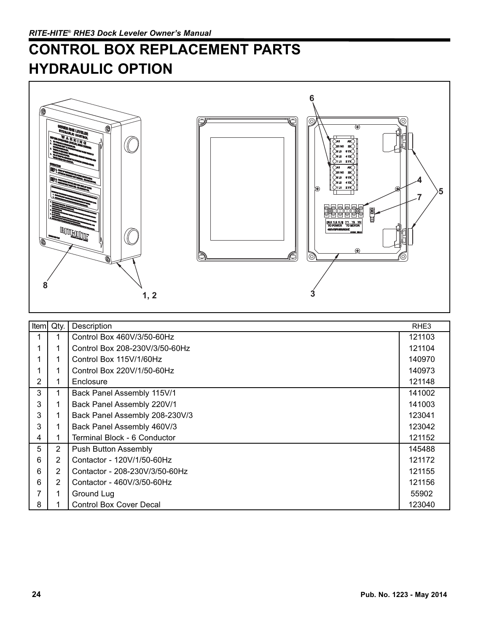## **CONTROL BOX REPLACEMENT PARTS HYDRAULIC OPTION**



| Item | Qty.           | Description                    | RHE3   |
|------|----------------|--------------------------------|--------|
|      |                | Control Box 460V/3/50-60Hz     | 121103 |
|      |                | Control Box 208-230V/3/50-60Hz | 121104 |
|      |                | Control Box 115V/1/60Hz        | 140970 |
|      |                | Control Box 220V/1/50-60Hz     | 140973 |
| 2    |                | Enclosure                      | 121148 |
| 3    |                | Back Panel Assembly 115V/1     | 141002 |
| 3    |                | Back Panel Assembly 220V/1     | 141003 |
| 3    |                | Back Panel Assembly 208-230V/3 | 123041 |
| 3    |                | Back Panel Assembly 460V/3     | 123042 |
| 4    |                | Terminal Block - 6 Conductor   | 121152 |
| 5    | $\overline{2}$ | Push Button Assembly           | 145488 |
| 6    | 2              | Contactor - 120V/1/50-60Hz     | 121172 |
| 6    | 2              | Contactor - 208-230V/3/50-60Hz | 121155 |
| 6    | 2              | Contactor - 460V/3/50-60Hz     | 121156 |
|      |                | Ground Lug                     | 55902  |
| 8    |                | <b>Control Box Cover Decal</b> | 123040 |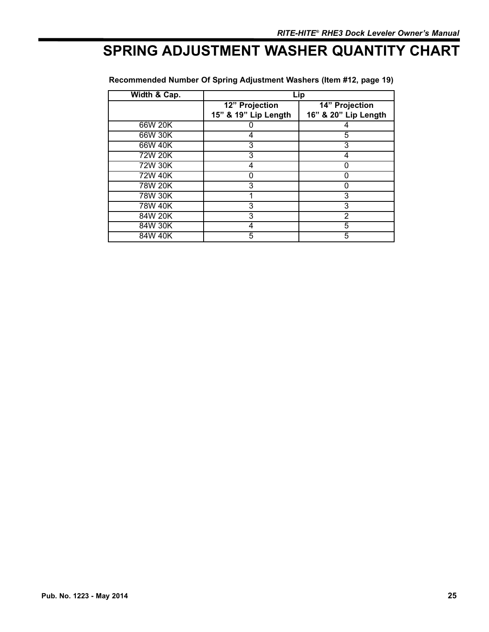## **SPRING ADJUSTMENT WASHER QUANTITY CHART**

| Width & Cap.   | Lip                                    |                                        |
|----------------|----------------------------------------|----------------------------------------|
|                | 12" Projection<br>15" & 19" Lip Length | 14" Projection<br>16" & 20" Lip Length |
| 66W 20K        |                                        |                                        |
| 66W 30K        | 4                                      | 5                                      |
| 66W 40K        | 3                                      | 3                                      |
| 72W 20K        | 3                                      | 4                                      |
| 72W 30K        | 4                                      |                                        |
| 72W 40K        |                                        | O                                      |
| 78W 20K        | 3                                      | Ω                                      |
| 78W 30K        |                                        | 3                                      |
| <b>78W 40K</b> | 3                                      | 3                                      |
| 84W 20K        | 3                                      | 2                                      |
| 84W 30K        |                                        | 5                                      |
| 84W 40K        | 5                                      | 5                                      |

### **Recommended Number Of Spring Adjustment Washers (Item #12, page 19)**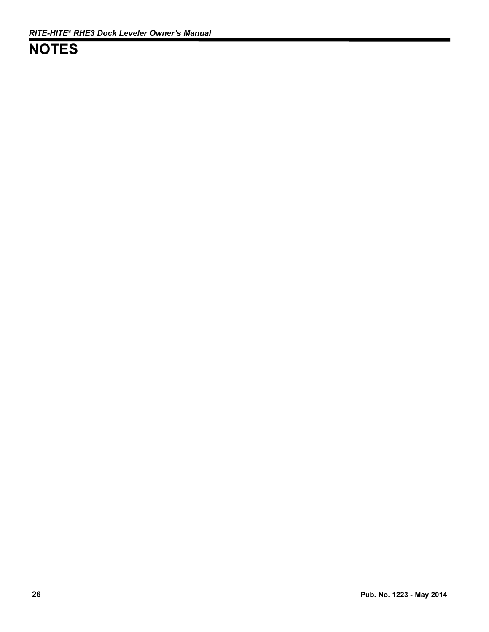## **NOTES**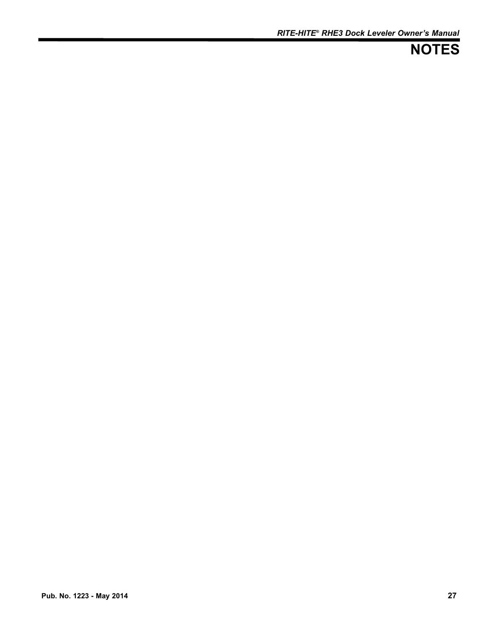## **NOTES**